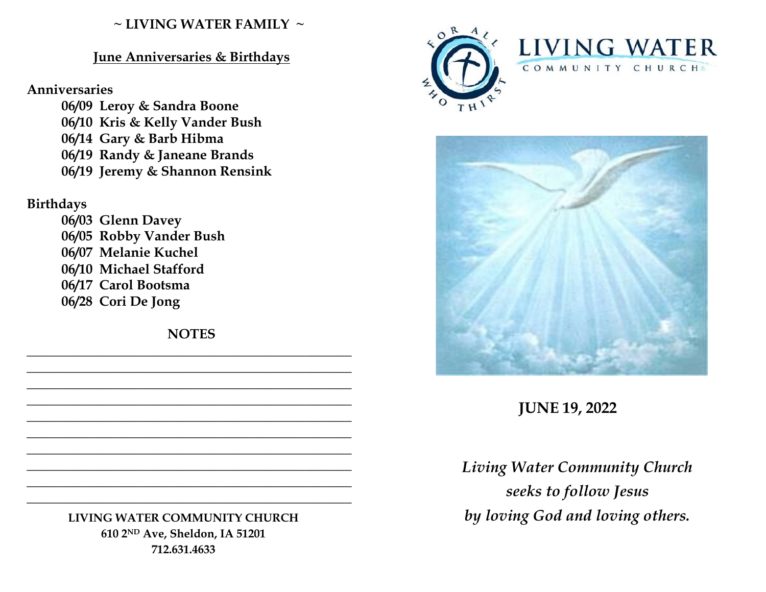### **~ LIVING WATER FAMILY ~**

### **June Anniversaries & Birthdays**

#### **Anniversaries**

**06/09 Leroy & Sandra Boone 06/10 Kris & Kelly Vander Bush 06/14 Gary & Barb Hibma 06/19 Randy & Janeane Brands 06/19 Jeremy & Shannon Rensink** 

## **Birthdays**

**06/03 Glenn Davey 06/05 Robby Vander Bush 06/07 Melanie Kuchel 06/10 Michael Stafford 06/17 Carol Bootsma 06/28 Cori De Jong**

**NOTES \_\_\_\_\_\_\_\_\_\_\_\_\_\_\_\_\_\_\_\_\_\_\_\_\_\_\_\_\_\_\_\_\_\_\_\_\_\_\_\_\_\_\_\_\_\_\_\_**

**\_\_\_\_\_\_\_\_\_\_\_\_\_\_\_\_\_\_\_\_\_\_\_\_\_\_\_\_\_\_\_\_\_\_\_\_\_\_\_\_\_\_\_\_\_\_\_\_ \_\_\_\_\_\_\_\_\_\_\_\_\_\_\_\_\_\_\_\_\_\_\_\_\_\_\_\_\_\_\_\_\_\_\_\_\_\_\_\_\_\_\_\_\_\_\_\_ \_\_\_\_\_\_\_\_\_\_\_\_\_\_\_\_\_\_\_\_\_\_\_\_\_\_\_\_\_\_\_\_\_\_\_\_\_\_\_\_\_\_\_\_\_\_\_\_ \_\_\_\_\_\_\_\_\_\_\_\_\_\_\_\_\_\_\_\_\_\_\_\_\_\_\_\_\_\_\_\_\_\_\_\_\_\_\_\_\_\_\_\_\_\_\_\_ \_\_\_\_\_\_\_\_\_\_\_\_\_\_\_\_\_\_\_\_\_\_\_\_\_\_\_\_\_\_\_\_\_\_\_\_\_\_\_\_\_\_\_\_\_\_\_\_ \_\_\_\_\_\_\_\_\_\_\_\_\_\_\_\_\_\_\_\_\_\_\_\_\_\_\_\_\_\_\_\_\_\_\_\_\_\_\_\_\_\_\_\_\_\_\_\_ \_\_\_\_\_\_\_\_\_\_\_\_\_\_\_\_\_\_\_\_\_\_\_\_\_\_\_\_\_\_\_\_\_\_\_\_\_\_\_\_\_\_\_\_\_\_\_\_ \_\_\_\_\_\_\_\_\_\_\_\_\_\_\_\_\_\_\_\_\_\_\_\_\_\_\_\_\_\_\_\_\_\_\_\_\_\_\_\_\_\_\_\_\_\_\_\_ \_\_\_\_\_\_\_\_\_\_\_\_\_\_\_\_\_\_\_\_\_\_\_\_\_\_\_\_\_\_\_\_\_\_\_\_\_\_\_\_\_\_\_\_\_\_\_\_**

> **LIVING WATER COMMUNITY CHURCH 610 2ND Ave, Sheldon, IA 51201 712.631.4633**





# **JUNE 19, 2022**

*Living Water Community Church seeks to follow Jesus by loving God and loving others.*